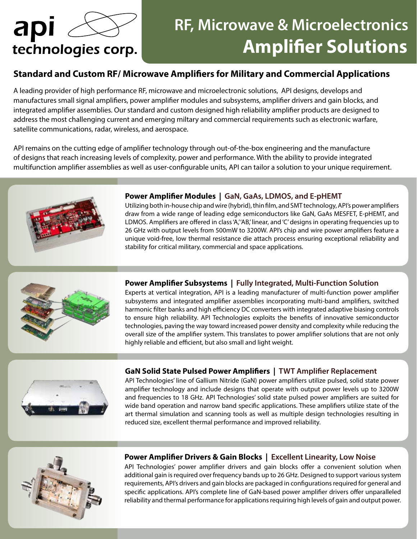# apl technologies corp.

## **RF, Microwave & Microelectronics Amplifier Solutions**

### **Standard and Custom RF/ Microwave Amplifiers for Military and Commercial Applications**

A leading provider of high performance RF, microwave and microelectronic solutions, API designs, develops and manufactures small signal amplifiers, power amplifier modules and subsystems, amplifier drivers and gain blocks, and integrated amplifier assemblies. Our standard and custom designed high reliability amplifier products are designed to address the most challenging current and emerging miltary and commercial requirements such as electronic warfare, satellite communications, radar, wireless, and aerospace.

API remains on the cutting edge of amplifier technology through out-of-the-box engineering and the manufacture of designs that reach increasing levels of complexity, power and performance. With the ability to provide integrated multifunction amplifier assemblies as well as user-configurable units, API can tailor a solution to your unique requirement.



#### **Power Amplifier Modules | GaN, GaAs, LDMOS, and E-pHEMT**

Utilizing both in-house chip and wire (hybrid), thin film, and SMT technology, API's power amplifiers draw from a wide range of leading edge semiconductors like GaN, GaAs MESFET, E-pHEMT, and LDMOS. Amplifiers are offered in class 'A,''AB,' linear, and 'C' designs in operating frequencies up to 26 GHz with output levels from 500mW to 3200W. API's chip and wire power amplifiers feature a unique void-free, low thermal resistance die attach process ensuring exceptional reliability and stability for critical military, commercial and space applications.



#### **Power Amplifier Subsystems | Fully Integrated, Multi-Function Solution**

Experts at vertical integration, API is a leading manufacturer of multi-function power amplifier subsystems and integrated amplifier assemblies incorporating multi-band amplifiers, switched harmonic filter banks and high efficiency DC converters with integrated adaptive biasing controls to ensure high reliability. API Technologies exploits the benefits of innovative semiconductor technologies, paving the way toward increased power density and complexity while reducing the overall size of the amplifier system. This translates to power amplifier solutions that are not only highly reliable and efficient, but also small and light weight.



#### **GaN Solid State Pulsed Power Amplifiers | TWT Amplifier Replacement**

API Technologies' line of Gallium Nitride (GaN) power amplifiers utilize pulsed, solid state power amplifier technology and include designs that operate with output power levels up to 3200W and frequencies to 18 GHz. API Technologies' solid state pulsed power amplifiers are suited for wide band operation and narrow band specific applications. These amplifiers utilize state of the art thermal simulation and scanning tools as well as multiple design technologies resulting in reduced size, excellent thermal performance and improved reliability.



#### **Power Amplifier Drivers & Gain Blocks | Excellent Linearity, Low Noise**

API Technologies' power amplifier drivers and gain blocks offer a convenient solution when additional gain is required over frequency bands up to 26 GHz. Designed to support various system requirements, API's drivers and gain blocks are packaged in configurations required for general and specific applications. API's complete line of GaN-based power amplifier drivers offer unparalleled reliability and thermal performance for applications requiring high levels of gain and output power.